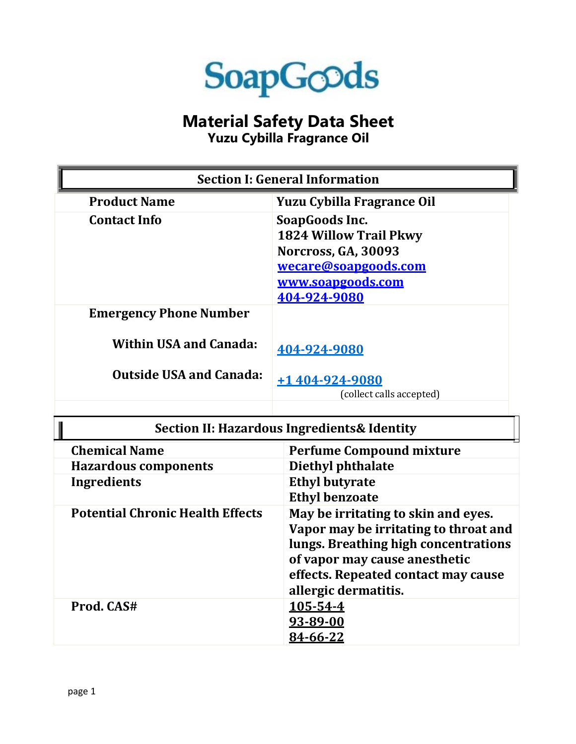

## **Material Safety Data Sheet**

**Yuzu Cybilla Fragrance Oil**

| <b>Section I: General Information</b>                                                            |                                                                                                                                     |  |
|--------------------------------------------------------------------------------------------------|-------------------------------------------------------------------------------------------------------------------------------------|--|
| <b>Product Name</b>                                                                              | <b>Yuzu Cybilla Fragrance Oil</b>                                                                                                   |  |
| <b>Contact Info</b>                                                                              | SoapGoods Inc.<br><b>1824 Willow Trail Pkwy</b><br>Norcross, GA, 30093<br>wecare@soapgoods.com<br>www.soapgoods.com<br>404-924-9080 |  |
| <b>Emergency Phone Number</b><br><b>Within USA and Canada:</b><br><b>Outside USA and Canada:</b> | 404-924-9080                                                                                                                        |  |
|                                                                                                  | +1 404-924-9080<br>(collect calls accepted)                                                                                         |  |

| <b>Section II: Hazardous Ingredients &amp; Identity</b> |                                                                                                                                                                                                                      |  |
|---------------------------------------------------------|----------------------------------------------------------------------------------------------------------------------------------------------------------------------------------------------------------------------|--|
| <b>Chemical Name</b>                                    | <b>Perfume Compound mixture</b>                                                                                                                                                                                      |  |
| <b>Hazardous components</b>                             | Diethyl phthalate                                                                                                                                                                                                    |  |
| <b>Ingredients</b>                                      | <b>Ethyl butyrate</b>                                                                                                                                                                                                |  |
|                                                         | <b>Ethyl benzoate</b>                                                                                                                                                                                                |  |
| <b>Potential Chronic Health Effects</b>                 | May be irritating to skin and eyes.<br>Vapor may be irritating to throat and<br>lungs. Breathing high concentrations<br>of vapor may cause anesthetic<br>effects. Repeated contact may cause<br>allergic dermatitis. |  |
| Prod. CAS#                                              | 105-54-4<br>93-89-00<br>84-66-22                                                                                                                                                                                     |  |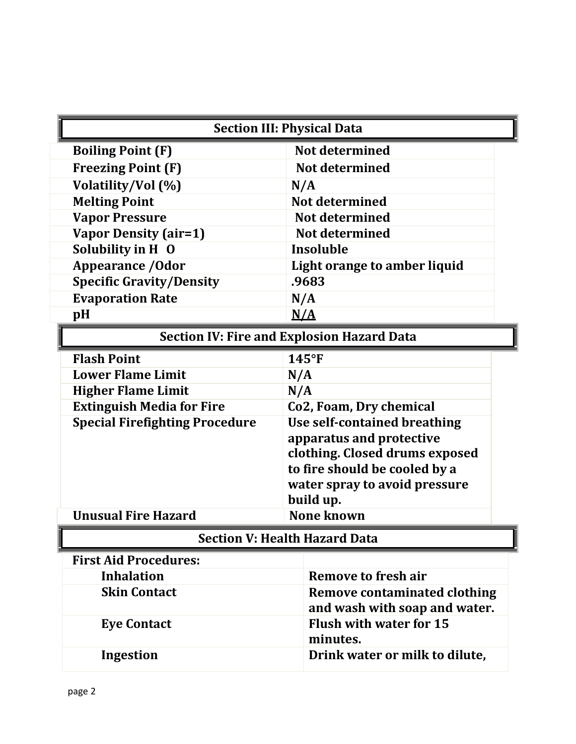| <b>Section III: Physical Data</b>                 |                                     |  |  |
|---------------------------------------------------|-------------------------------------|--|--|
| <b>Boiling Point (F)</b>                          | Not determined                      |  |  |
| <b>Freezing Point (F)</b>                         | Not determined                      |  |  |
| Volatility/Vol (%)                                | N/A                                 |  |  |
| <b>Melting Point</b>                              | Not determined                      |  |  |
| <b>Vapor Pressure</b>                             | <b>Not determined</b>               |  |  |
| <b>Vapor Density (air=1)</b>                      | Not determined                      |  |  |
| Solubility in H O                                 | Insoluble                           |  |  |
| <b>Appearance / Odor</b>                          | Light orange to amber liquid        |  |  |
| <b>Specific Gravity/Density</b>                   | .9683                               |  |  |
| <b>Evaporation Rate</b>                           | N/A                                 |  |  |
| pH                                                | $\underline{N}/\underline{A}$       |  |  |
| <b>Section IV: Fire and Explosion Hazard Data</b> |                                     |  |  |
| <b>Flash Point</b>                                | $145^{\circ}F$                      |  |  |
| <b>Lower Flame Limit</b>                          | N/A                                 |  |  |
| <b>Higher Flame Limit</b>                         | N/A                                 |  |  |
| <b>Extinguish Media for Fire</b>                  | Co2, Foam, Dry chemical             |  |  |
| <b>Special Firefighting Procedure</b>             | Use self-contained breathing        |  |  |
|                                                   | apparatus and protective            |  |  |
|                                                   | clothing. Closed drums exposed      |  |  |
|                                                   | to fire should be cooled by a       |  |  |
|                                                   | water spray to avoid pressure       |  |  |
|                                                   | build up.                           |  |  |
| <b>Unusual Fire Hazard</b>                        | <b>None known</b>                   |  |  |
| <b>Section V: Health Hazard Data</b>              |                                     |  |  |
| <b>First Aid Procedures:</b>                      |                                     |  |  |
| <b>Inhalation</b>                                 | <b>Remove to fresh air</b>          |  |  |
| <b>Skin Contact</b>                               | <b>Remove contaminated clothing</b> |  |  |
|                                                   | and wash with soap and water.       |  |  |
| <b>Eye Contact</b>                                | <b>Flush with water for 15</b>      |  |  |
|                                                   | minutes.                            |  |  |
| <b>Ingestion</b>                                  | Drink water or milk to dilute,      |  |  |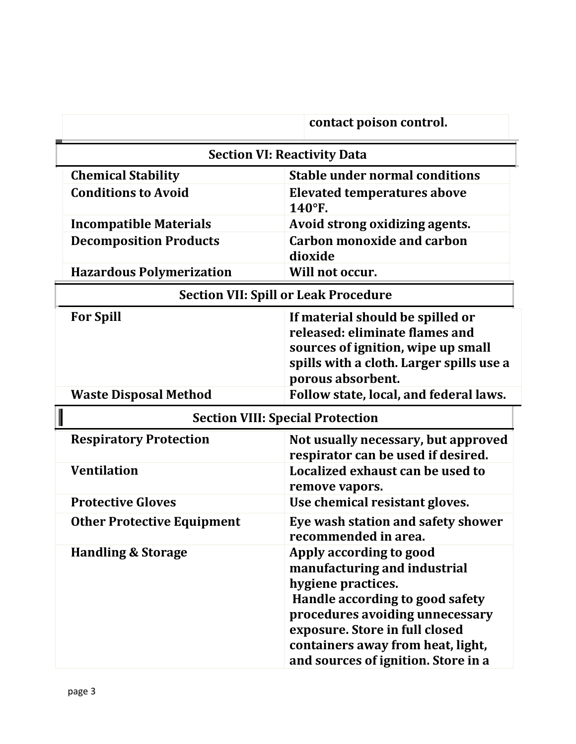|                                             | contact poison control.                                                                                                                                                                                                                                           |  |
|---------------------------------------------|-------------------------------------------------------------------------------------------------------------------------------------------------------------------------------------------------------------------------------------------------------------------|--|
| <b>Section VI: Reactivity Data</b>          |                                                                                                                                                                                                                                                                   |  |
| <b>Chemical Stability</b>                   | <b>Stable under normal conditions</b>                                                                                                                                                                                                                             |  |
| <b>Conditions to Avoid</b>                  | <b>Elevated temperatures above</b><br>140°F.                                                                                                                                                                                                                      |  |
| <b>Incompatible Materials</b>               | Avoid strong oxidizing agents.                                                                                                                                                                                                                                    |  |
| <b>Decomposition Products</b>               | <b>Carbon monoxide and carbon</b><br>dioxide                                                                                                                                                                                                                      |  |
| <b>Hazardous Polymerization</b>             | Will not occur.                                                                                                                                                                                                                                                   |  |
| <b>Section VII: Spill or Leak Procedure</b> |                                                                                                                                                                                                                                                                   |  |
| <b>For Spill</b>                            | If material should be spilled or<br>released: eliminate flames and<br>sources of ignition, wipe up small<br>spills with a cloth. Larger spills use a<br>porous absorbent.                                                                                         |  |
| <b>Waste Disposal Method</b>                | Follow state, local, and federal laws.                                                                                                                                                                                                                            |  |
| <b>Section VIII: Special Protection</b>     |                                                                                                                                                                                                                                                                   |  |
| <b>Respiratory Protection</b>               | Not usually necessary, but approved<br>respirator can be used if desired.                                                                                                                                                                                         |  |
| <b>Ventilation</b>                          | Localized exhaust can be used to<br>remove vapors.                                                                                                                                                                                                                |  |
| <b>Protective Gloves</b>                    | Use chemical resistant gloves.                                                                                                                                                                                                                                    |  |
| <b>Other Protective Equipment</b>           | Eye wash station and safety shower<br>recommended in area.                                                                                                                                                                                                        |  |
| <b>Handling &amp; Storage</b>               | Apply according to good<br>manufacturing and industrial<br>hygiene practices.<br>Handle according to good safety<br>procedures avoiding unnecessary<br>exposure. Store in full closed<br>containers away from heat, light,<br>and sources of ignition. Store in a |  |